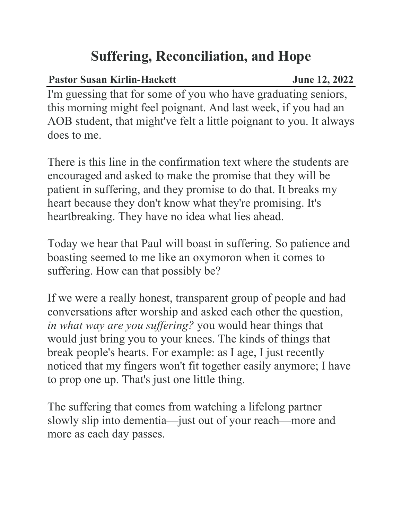## **Suffering, Reconciliation, and Hope**

## Pastor Susan Kirlin-Hackett June 12, 2022

I'm guessing that for some of you who have graduating seniors, this morning might feel poignant. And last week, if you had an AOB student, that might've felt a little poignant to you. It always does to me.

There is this line in the confirmation text where the students are encouraged and asked to make the promise that they will be patient in suffering, and they promise to do that. It breaks my heart because they don't know what they're promising. It's heartbreaking. They have no idea what lies ahead.

Today we hear that Paul will boast in suffering. So patience and boasting seemed to me like an oxymoron when it comes to suffering. How can that possibly be?

If we were a really honest, transparent group of people and had conversations after worship and asked each other the question, *in what way are you suffering?* you would hear things that would just bring you to your knees. The kinds of things that break people's hearts. For example: as I age, I just recently noticed that my fingers won't fit together easily anymore; I have to prop one up. That's just one little thing.

The suffering that comes from watching a lifelong partner slowly slip into dementia—just out of your reach—more and more as each day passes.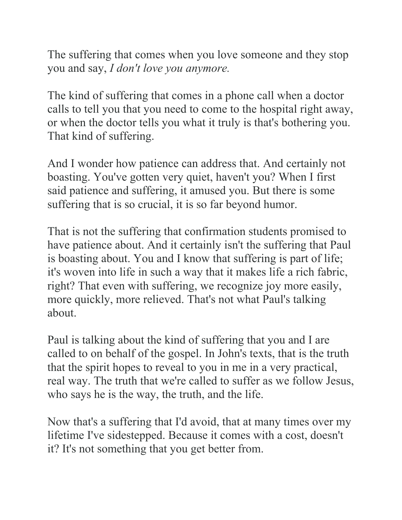The suffering that comes when you love someone and they stop you and say, *I don't love you anymore.*

The kind of suffering that comes in a phone call when a doctor calls to tell you that you need to come to the hospital right away, or when the doctor tells you what it truly is that's bothering you. That kind of suffering.

And I wonder how patience can address that. And certainly not boasting. You've gotten very quiet, haven't you? When I first said patience and suffering, it amused you. But there is some suffering that is so crucial, it is so far beyond humor.

That is not the suffering that confirmation students promised to have patience about. And it certainly isn't the suffering that Paul is boasting about. You and I know that suffering is part of life; it's woven into life in such a way that it makes life a rich fabric, right? That even with suffering, we recognize joy more easily, more quickly, more relieved. That's not what Paul's talking about.

Paul is talking about the kind of suffering that you and I are called to on behalf of the gospel. In John's texts, that is the truth that the spirit hopes to reveal to you in me in a very practical, real way. The truth that we're called to suffer as we follow Jesus, who says he is the way, the truth, and the life.

Now that's a suffering that I'd avoid, that at many times over my lifetime I've sidestepped. Because it comes with a cost, doesn't it? It's not something that you get better from.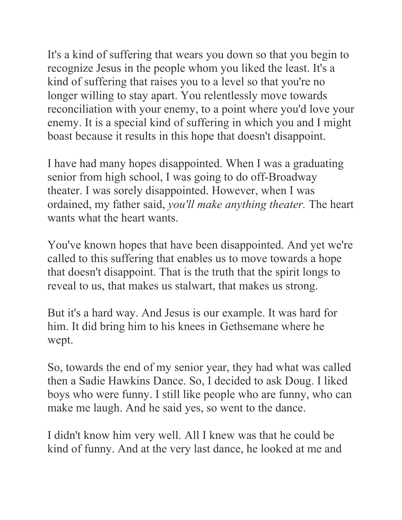It's a kind of suffering that wears you down so that you begin to recognize Jesus in the people whom you liked the least. It's a kind of suffering that raises you to a level so that you're no longer willing to stay apart. You relentlessly move towards reconciliation with your enemy, to a point where you'd love your enemy. It is a special kind of suffering in which you and I might boast because it results in this hope that doesn't disappoint.

I have had many hopes disappointed. When I was a graduating senior from high school, I was going to do off-Broadway theater. I was sorely disappointed. However, when I was ordained, my father said, *you'll make anything theater.* The heart wants what the heart wants.

You've known hopes that have been disappointed. And yet we're called to this suffering that enables us to move towards a hope that doesn't disappoint. That is the truth that the spirit longs to reveal to us, that makes us stalwart, that makes us strong.

But it's a hard way. And Jesus is our example. It was hard for him. It did bring him to his knees in Gethsemane where he wept.

So, towards the end of my senior year, they had what was called then a Sadie Hawkins Dance. So, I decided to ask Doug. I liked boys who were funny. I still like people who are funny, who can make me laugh. And he said yes, so went to the dance.

I didn't know him very well. All I knew was that he could be kind of funny. And at the very last dance, he looked at me and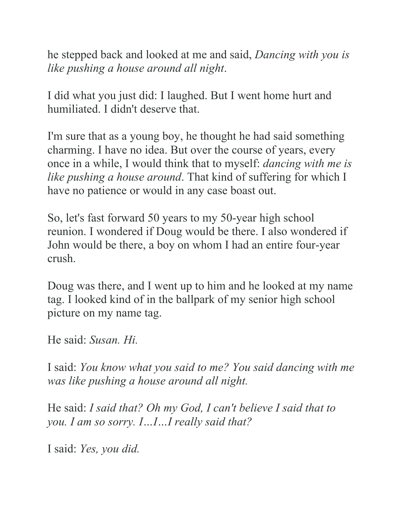he stepped back and looked at me and said, *Dancing with you is like pushing a house around all night*.

I did what you just did: I laughed. But I went home hurt and humiliated. I didn't deserve that.

I'm sure that as a young boy, he thought he had said something charming. I have no idea. But over the course of years, every once in a while, I would think that to myself: *dancing with me is like pushing a house around*. That kind of suffering for which I have no patience or would in any case boast out.

So, let's fast forward 50 years to my 50-year high school reunion. I wondered if Doug would be there. I also wondered if John would be there, a boy on whom I had an entire four-year crush.

Doug was there, and I went up to him and he looked at my name tag. I looked kind of in the ballpark of my senior high school picture on my name tag.

He said: *Susan. Hi.*

I said: *You know what you said to me? You said dancing with me was like pushing a house around all night.*

He said: *I said that? Oh my God, I can't believe I said that to you. I am so sorry. I…I…I really said that?*

I said: *Yes, you did.*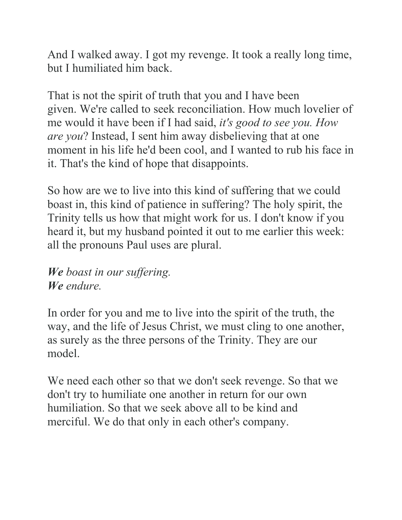And I walked away. I got my revenge. It took a really long time, but I humiliated him back.

That is not the spirit of truth that you and I have been given. We're called to seek reconciliation. How much lovelier of me would it have been if I had said, *it's good to see you. How are you*? Instead, I sent him away disbelieving that at one moment in his life he'd been cool, and I wanted to rub his face in it. That's the kind of hope that disappoints.

So how are we to live into this kind of suffering that we could boast in, this kind of patience in suffering? The holy spirit, the Trinity tells us how that might work for us. I don't know if you heard it, but my husband pointed it out to me earlier this week: all the pronouns Paul uses are plural.

*We boast in our suffering. We endure.*

In order for you and me to live into the spirit of the truth, the way, and the life of Jesus Christ, we must cling to one another, as surely as the three persons of the Trinity. They are our model.

We need each other so that we don't seek revenge. So that we don't try to humiliate one another in return for our own humiliation. So that we seek above all to be kind and merciful. We do that only in each other's company.